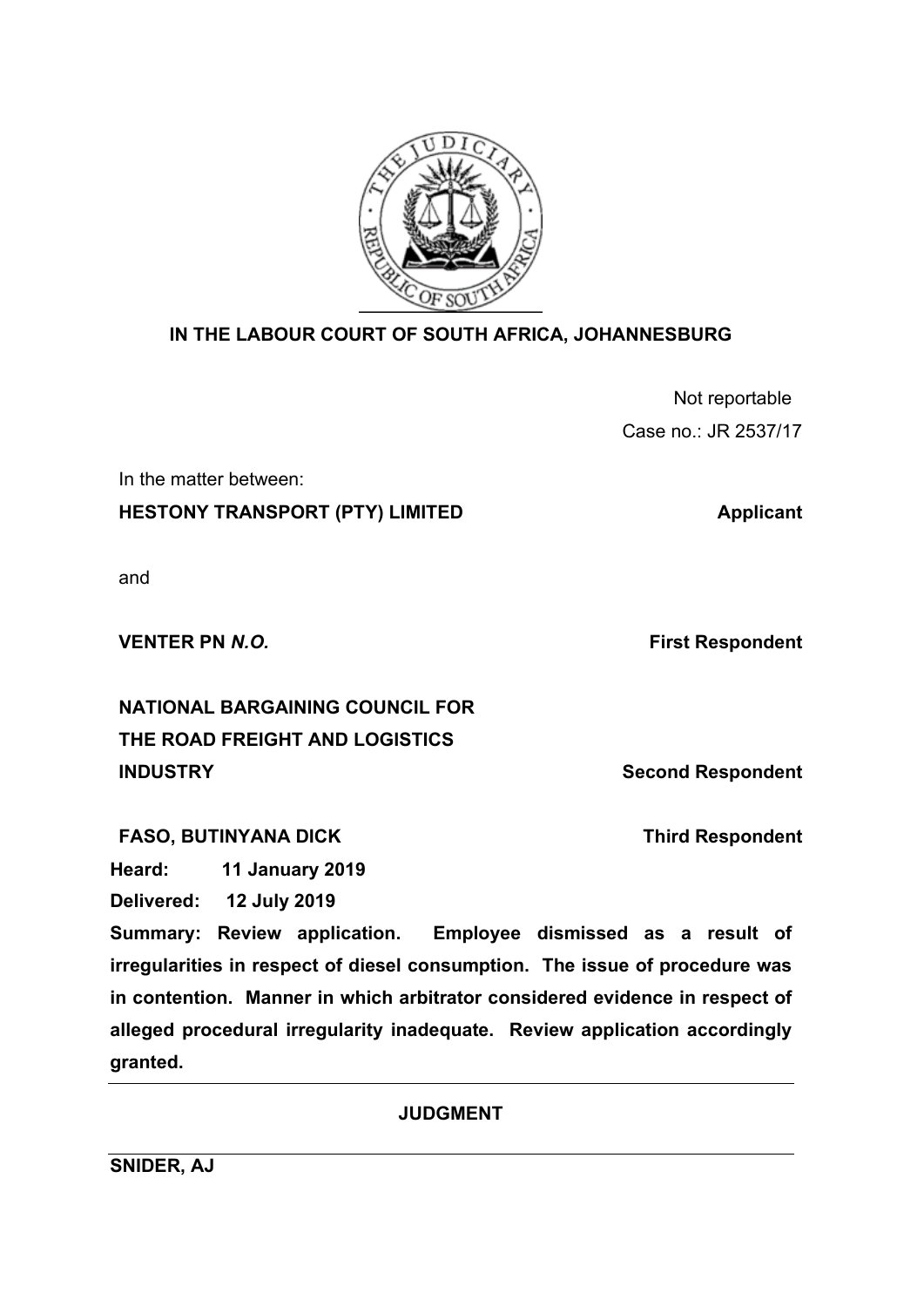

# **IN THE LABOUR COURT OF SOUTH AFRICA, JOHANNESBURG**

| Not reportable       |
|----------------------|
| Case no.: JR 2537/17 |

In the matter between:

**HESTONY TRANSPORT (PTY) LIMITED Applicant** 

and

**VENTER PN** *N.O.* **First Respondent** 

**NATIONAL BARGAINING COUNCIL FOR THE ROAD FREIGHT AND LOGISTICS INDUSTRY Second Respondent** 

FASO, BUTINYANA DICK Third Respondent

**Heard: 11 January 2019**

**Delivered: 12 July 2019**

**Summary: Review application. Employee dismissed as a result of irregularities in respect of diesel consumption. The issue of procedure was in contention. Manner in which arbitrator considered evidence in respect of alleged procedural irregularity inadequate. Review application accordingly granted.** 

**JUDGMENT**

**SNIDER, AJ**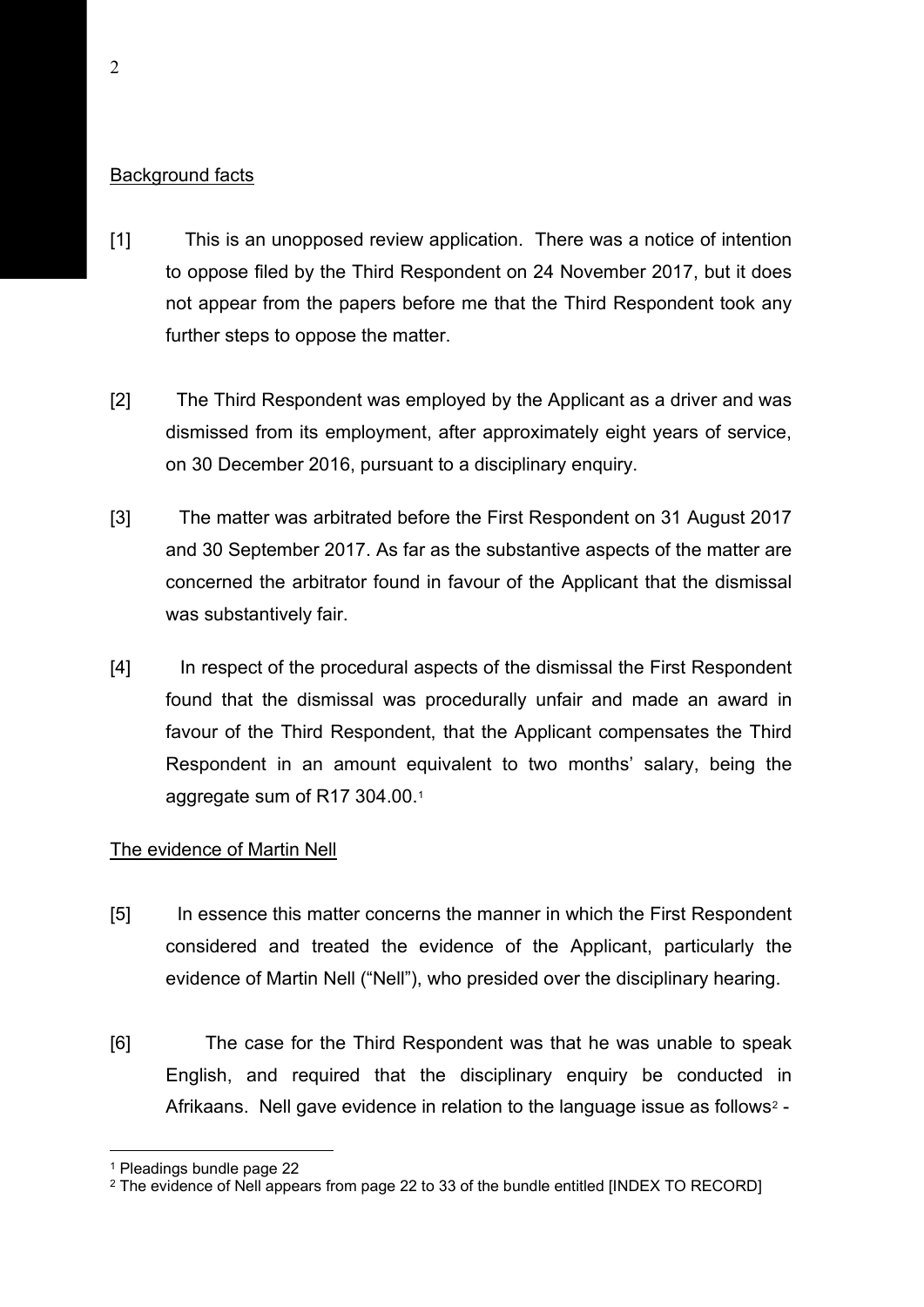## Background facts

- [1] This is an unopposed review application. There was a notice of intention to oppose filed by the Third Respondent on 24 November 2017, but it does not appear from the papers before me that the Third Respondent took any further steps to oppose the matter.
- [2] The Third Respondent was employed by the Applicant as a driver and was dismissed from its employment, after approximately eight years of service, on 30 December 2016, pursuant to a disciplinary enquiry.
- [3] The matter was arbitrated before the First Respondent on 31 August 2017 and 30 September 2017. As far as the substantive aspects of the matter are concerned the arbitrator found in favour of the Applicant that the dismissal was substantively fair.
- [4] In respect of the procedural aspects of the dismissal the First Respondent found that the dismissal was procedurally unfair and made an award in favour of the Third Respondent, that the Applicant compensates the Third Respondent in an amount equivalent to two months' salary, being the aggregate sum of R17 304.00.[1](#page-1-0)

### The evidence of Martin Nell

- [5] In essence this matter concerns the manner in which the First Respondent considered and treated the evidence of the Applicant, particularly the evidence of Martin Nell ("Nell"), who presided over the disciplinary hearing.
- [6] The case for the Third Respondent was that he was unable to speak English, and required that the disciplinary enquiry be conducted in Afrikaans. Nell gave evidence in relation to the language issue as follows<sup>[2](#page-1-1)</sup> -

<span id="page-1-0"></span><sup>1</sup> Pleadings bundle page 22

<span id="page-1-1"></span><sup>&</sup>lt;sup>2</sup> The evidence of Nell appears from page 22 to 33 of the bundle entitled [INDEX TO RECORD]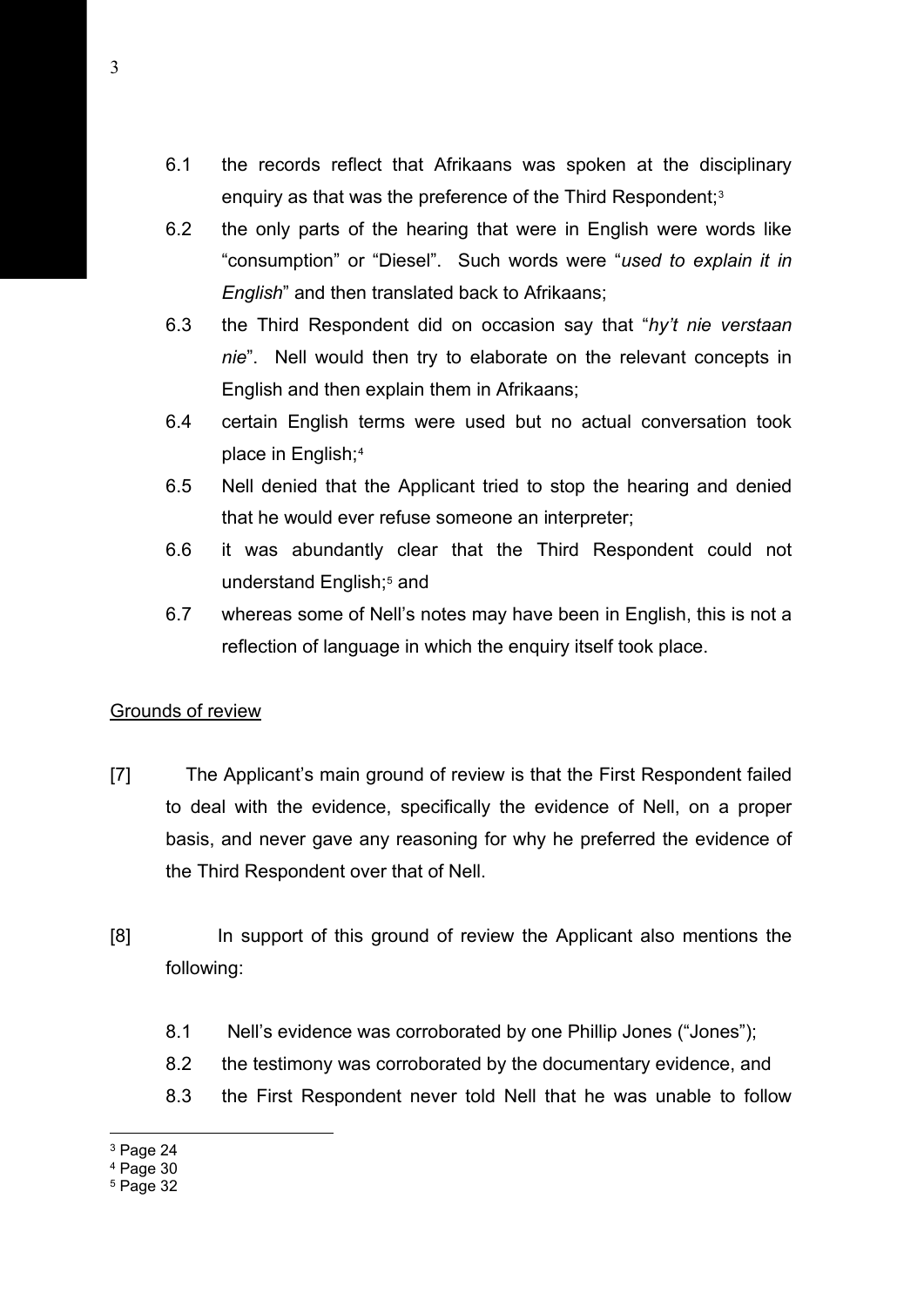- 6.1 the records reflect that Afrikaans was spoken at the disciplinary enquiry as that was the preference of the Third Respondent:<sup>[3](#page-2-0)</sup>
- 6.2 the only parts of the hearing that were in English were words like "consumption" or "Diesel". Such words were "*used to explain it in English*" and then translated back to Afrikaans;
- 6.3 the Third Respondent did on occasion say that "*hy't nie verstaan nie*". Nell would then try to elaborate on the relevant concepts in English and then explain them in Afrikaans;
- 6.4 certain English terms were used but no actual conversation took place in English;[4](#page-2-1)
- 6.5 Nell denied that the Applicant tried to stop the hearing and denied that he would ever refuse someone an interpreter;
- 6.6 it was abundantly clear that the Third Respondent could not understand English;<sup>5</sup> and
- 6.7 whereas some of Nell's notes may have been in English, this is not a reflection of language in which the enquiry itself took place.

#### Grounds of review

- [7] The Applicant's main ground of review is that the First Respondent failed to deal with the evidence, specifically the evidence of Nell, on a proper basis, and never gave any reasoning for why he preferred the evidence of the Third Respondent over that of Nell.
- [8] In support of this ground of review the Applicant also mentions the following:
	- 8.1 Nell's evidence was corroborated by one Phillip Jones ("Jones");
	- 8.2 the testimony was corroborated by the documentary evidence, and
	- 8.3 the First Respondent never told Nell that he was unable to follow

<span id="page-2-0"></span><sup>&</sup>lt;sup>3</sup> Page 24

<span id="page-2-1"></span> $4$  Page 30

<span id="page-2-2"></span> $5$  Page 32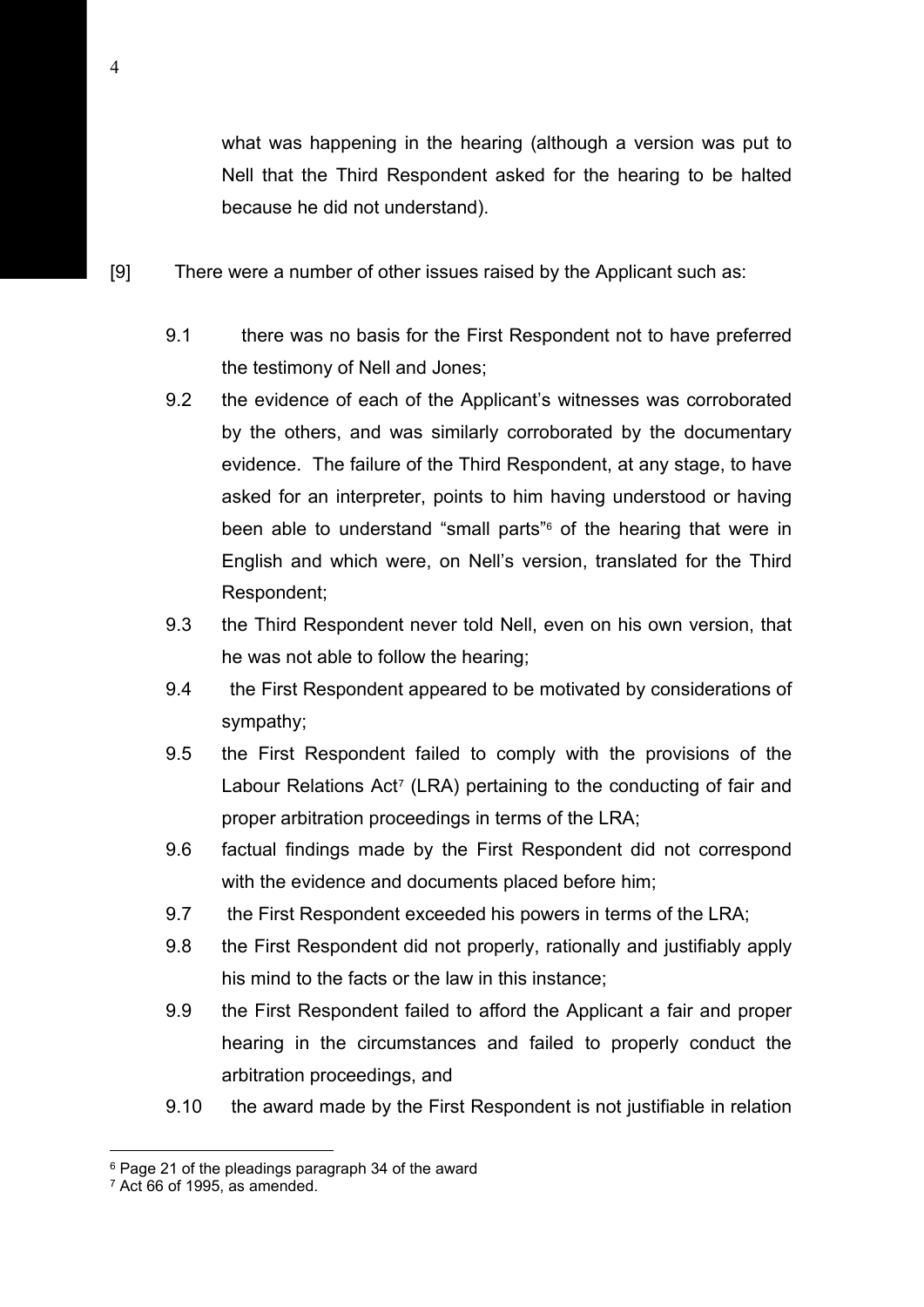what was happening in the hearing (although a version was put to Nell that the Third Respondent asked for the hearing to be halted because he did not understand).

- [9] There were a number of other issues raised by the Applicant such as:
	- 9.1 there was no basis for the First Respondent not to have preferred the testimony of Nell and Jones;
	- 9.2 the evidence of each of the Applicant's witnesses was corroborated by the others, and was similarly corroborated by the documentary evidence. The failure of the Third Respondent, at any stage, to have asked for an interpreter, points to him having understood or having been able to understand "small parts"<sup>[6](#page-3-0)</sup> of the hearing that were in English and which were, on Nell's version, translated for the Third Respondent;
	- 9.3 the Third Respondent never told Nell, even on his own version, that he was not able to follow the hearing;
	- 9.4 the First Respondent appeared to be motivated by considerations of sympathy;
	- 9.5 the First Respondent failed to comply with the provisions of the Labour Relations Act<sup>[7](#page-3-1)</sup> (LRA) pertaining to the conducting of fair and proper arbitration proceedings in terms of the LRA;
	- 9.6 factual findings made by the First Respondent did not correspond with the evidence and documents placed before him;
	- 9.7 the First Respondent exceeded his powers in terms of the LRA;
	- 9.8 the First Respondent did not properly, rationally and justifiably apply his mind to the facts or the law in this instance;
	- 9.9 the First Respondent failed to afford the Applicant a fair and proper hearing in the circumstances and failed to properly conduct the arbitration proceedings, and
	- 9.10 the award made by the First Respondent is not justifiable in relation

<span id="page-3-0"></span><sup>6</sup> Page 21 of the pleadings paragraph 34 of the award

<span id="page-3-1"></span> $7$  Act 66 of 1995, as amended.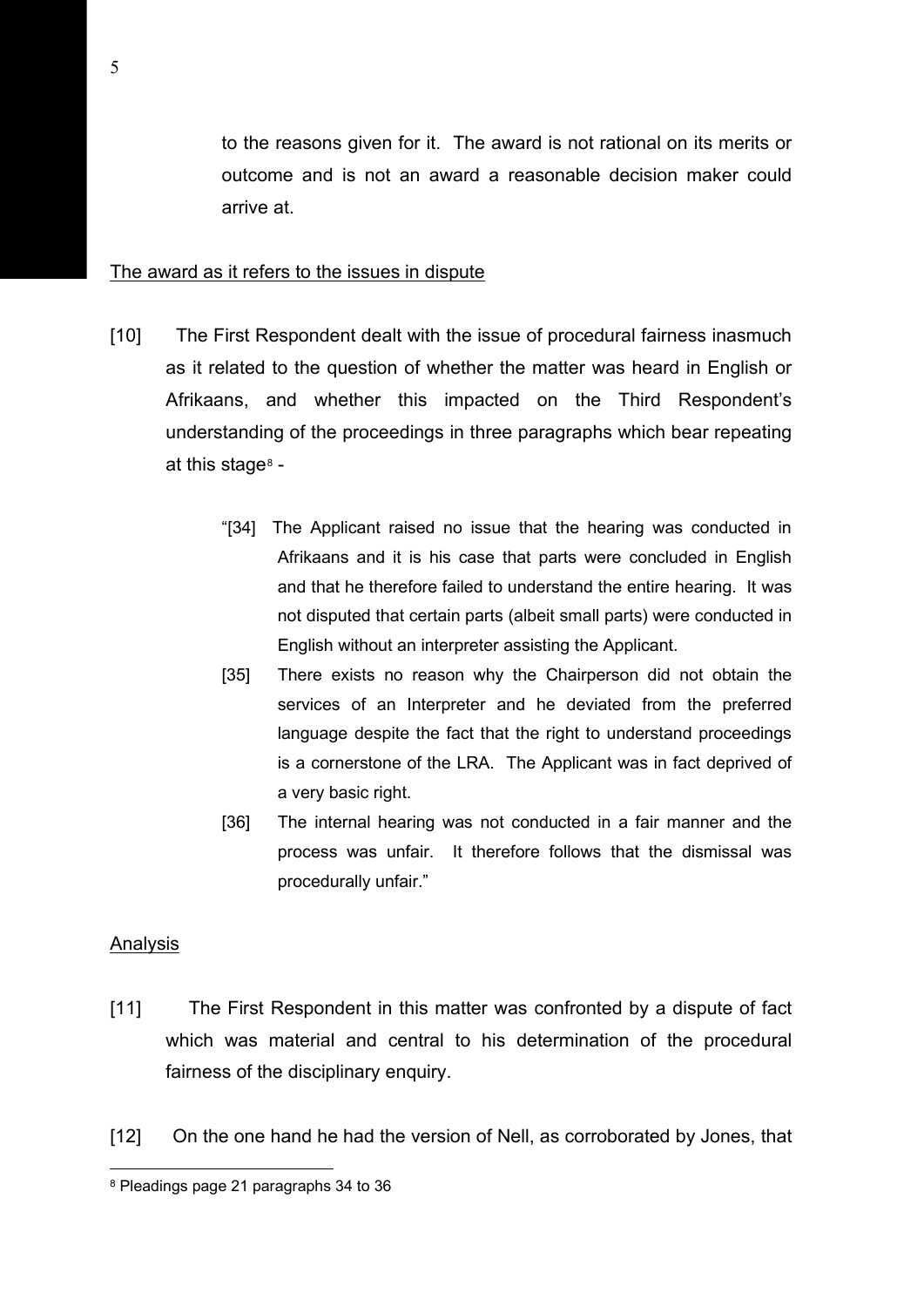to the reasons given for it. The award is not rational on its merits or outcome and is not an award a reasonable decision maker could arrive at.

### The award as it refers to the issues in dispute

- [10] The First Respondent dealt with the issue of procedural fairness inasmuch as it related to the question of whether the matter was heard in English or Afrikaans, and whether this impacted on the Third Respondent's understanding of the proceedings in three paragraphs which bear repeating at this stage $8 8 -$ 
	- "[34] The Applicant raised no issue that the hearing was conducted in Afrikaans and it is his case that parts were concluded in English and that he therefore failed to understand the entire hearing. It was not disputed that certain parts (albeit small parts) were conducted in English without an interpreter assisting the Applicant.
	- [35] There exists no reason why the Chairperson did not obtain the services of an Interpreter and he deviated from the preferred language despite the fact that the right to understand proceedings is a cornerstone of the LRA. The Applicant was in fact deprived of a very basic right.
	- [36] The internal hearing was not conducted in a fair manner and the process was unfair. It therefore follows that the dismissal was procedurally unfair."

#### Analysis

- [11] The First Respondent in this matter was confronted by a dispute of fact which was material and central to his determination of the procedural fairness of the disciplinary enquiry.
- [12] On the one hand he had the version of Nell, as corroborated by Jones, that

<span id="page-4-0"></span><sup>8</sup> Pleadings page 21 paragraphs 34 to 36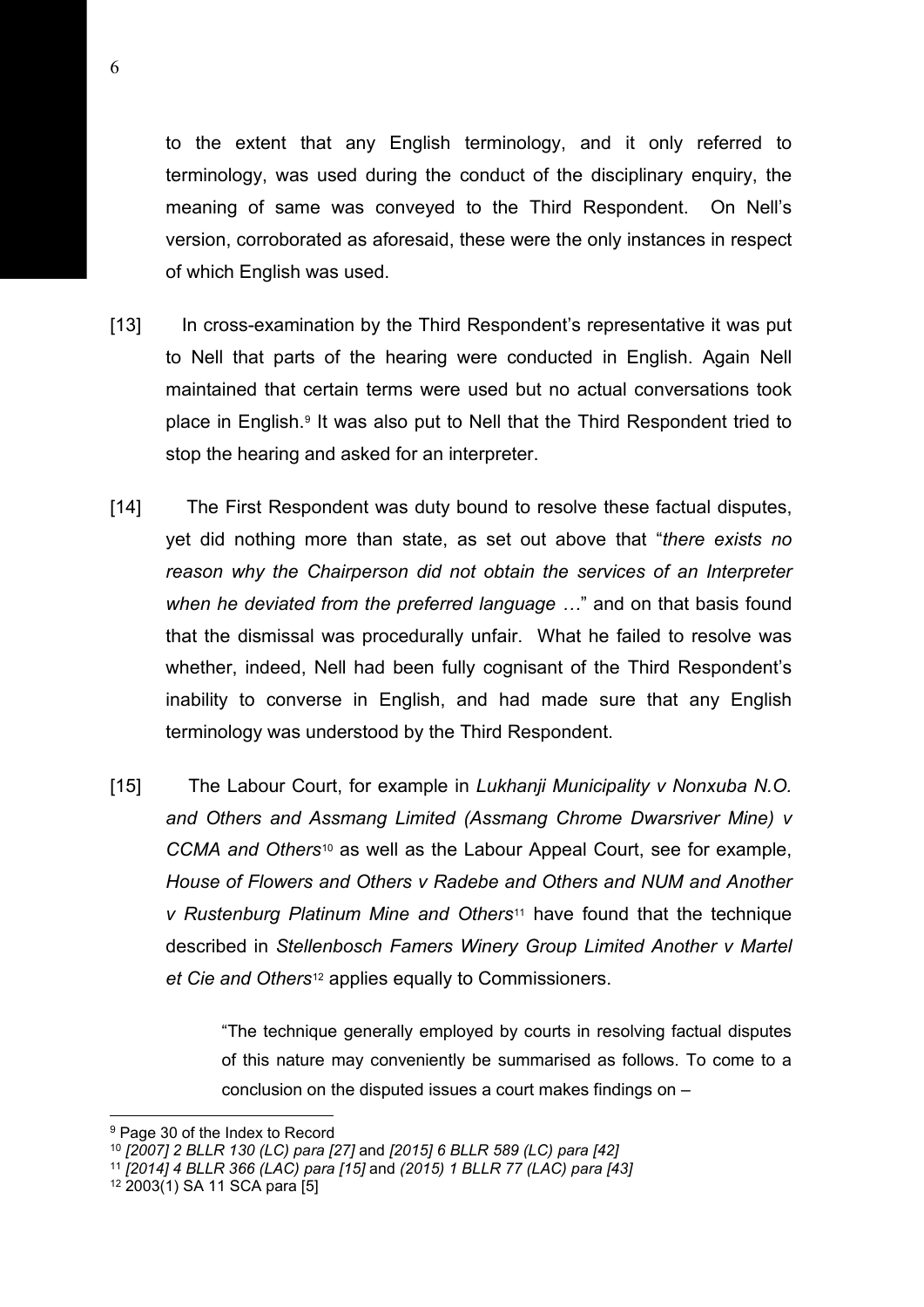to the extent that any English terminology, and it only referred to terminology, was used during the conduct of the disciplinary enquiry, the meaning of same was conveyed to the Third Respondent. On Nell's version, corroborated as aforesaid, these were the only instances in respect of which English was used.

- [13] In cross-examination by the Third Respondent's representative it was put to Nell that parts of the hearing were conducted in English. Again Nell maintained that certain terms were used but no actual conversations took place in English.[9](#page-5-0) It was also put to Nell that the Third Respondent tried to stop the hearing and asked for an interpreter.
- [14] The First Respondent was duty bound to resolve these factual disputes, yet did nothing more than state, as set out above that "*there exists no reason why the Chairperson did not obtain the services of an Interpreter when he deviated from the preferred language …*" and on that basis found that the dismissal was procedurally unfair. What he failed to resolve was whether, indeed, Nell had been fully cognisant of the Third Respondent's inability to converse in English, and had made sure that any English terminology was understood by the Third Respondent.
- [15] The Labour Court, for example in *Lukhanji Municipality v Nonxuba N.O. and Others and Assmang Limited (Assmang Chrome Dwarsriver Mine) v CCMA and Others*[10](#page-5-1) as well as the Labour Appeal Court, see for example, *House of Flowers and Others v Radebe and Others and NUM and Another v Rustenburg Platinum Mine and Others*[11](#page-5-2) have found that the technique described in *Stellenbosch Famers Winery Group Limited Another v Martel et Cie and Others*[12](#page-5-3) applies equally to Commissioners.

"The technique generally employed by courts in resolving factual disputes of this nature may conveniently be summarised as follows. To come to a conclusion on the disputed issues a court makes findings on –

<span id="page-5-0"></span><sup>9</sup> Page 30 of the Index to Record

<span id="page-5-1"></span><sup>10</sup> *[2007] 2 BLLR 130 (LC) para [27]* and *[2015] 6 BLLR 589 (LC) para [42]* 

<span id="page-5-2"></span><sup>11</sup> *[2014] 4 BLLR 366 (LAC) para [15]* and *(2015) 1 BLLR 77 (LAC) para [43]*

<span id="page-5-3"></span><sup>12</sup> 2003(1) SA 11 SCA para [5]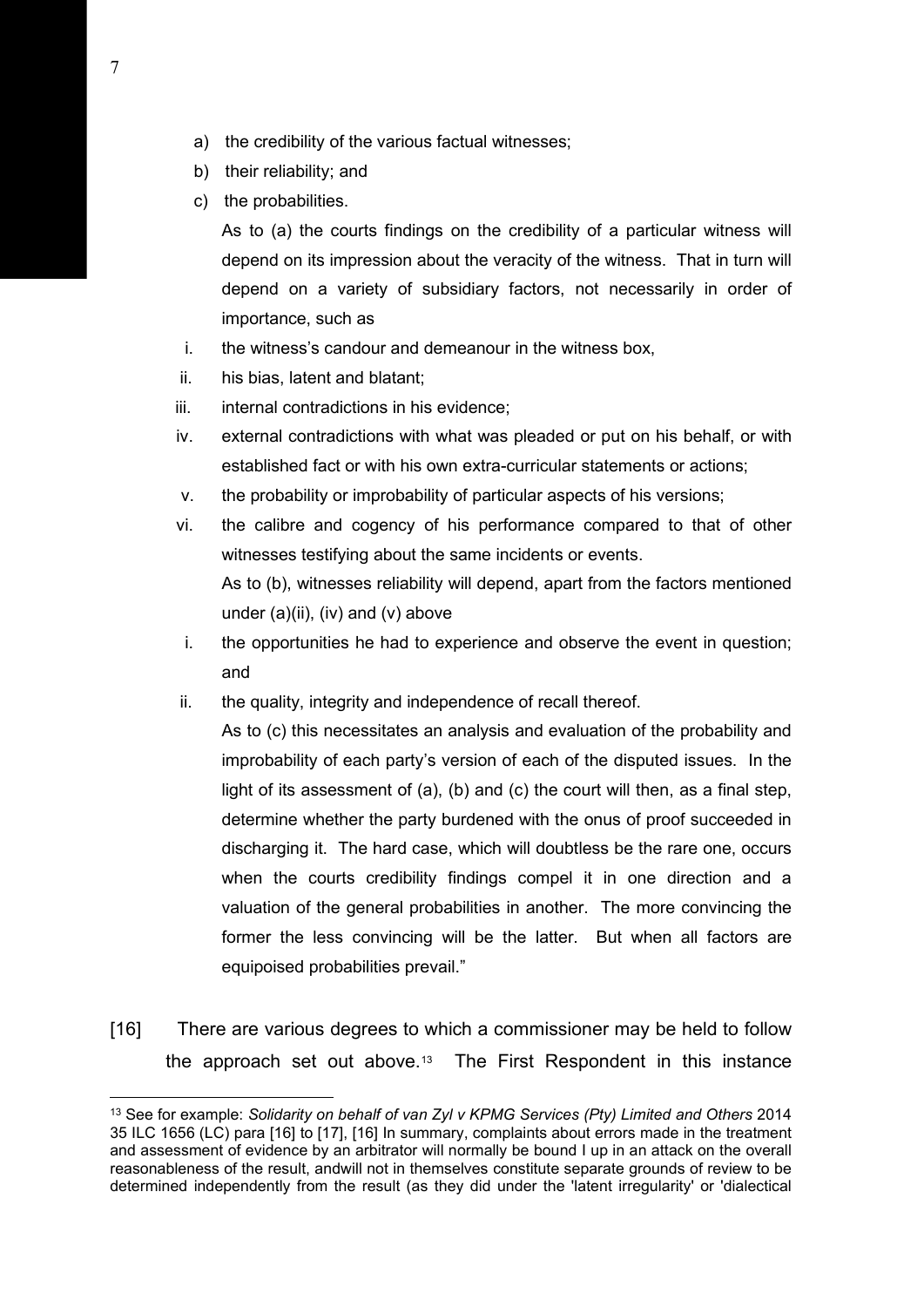- a) the credibility of the various factual witnesses;
- b) their reliability; and
- c) the probabilities.

As to (a) the courts findings on the credibility of a particular witness will depend on its impression about the veracity of the witness. That in turn will depend on a variety of subsidiary factors, not necessarily in order of importance, such as

- i. the witness's candour and demeanour in the witness box,
- ii. his bias, latent and blatant;
- iii. internal contradictions in his evidence;
- iv. external contradictions with what was pleaded or put on his behalf, or with established fact or with his own extra-curricular statements or actions;
- v. the probability or improbability of particular aspects of his versions;
- vi. the calibre and cogency of his performance compared to that of other witnesses testifying about the same incidents or events. As to (b), witnesses reliability will depend, apart from the factors mentioned
	- under  $(a)(ii)$ ,  $(iv)$  and  $(v)$  above
- i. the opportunities he had to experience and observe the event in question; and
- ii. the quality, integrity and independence of recall thereof.

As to (c) this necessitates an analysis and evaluation of the probability and improbability of each party's version of each of the disputed issues. In the light of its assessment of (a), (b) and (c) the court will then, as a final step, determine whether the party burdened with the onus of proof succeeded in discharging it. The hard case, which will doubtless be the rare one, occurs when the courts credibility findings compel it in one direction and a valuation of the general probabilities in another. The more convincing the former the less convincing will be the latter. But when all factors are equipoised probabilities prevail."

[16] There are various degrees to which a commissioner may be held to follow the approach set out above[.13](#page-6-0) The First Respondent in this instance

<span id="page-6-0"></span><sup>13</sup> See for example: *Solidarity on behalf of van Zyl v KPMG Services (Pty) Limited and Others* 2014 35 ILC 1656 (LC) para [16] to [17], [16] In summary, complaints about errors made in the treatment and assessment of evidence by an arbitrator will normally be bound I up in an attack on the overall reasonableness of the result, andwill not in themselves constitute separate grounds of review to be determined independently from the result (as they did under the 'latent irregularity' or 'dialectical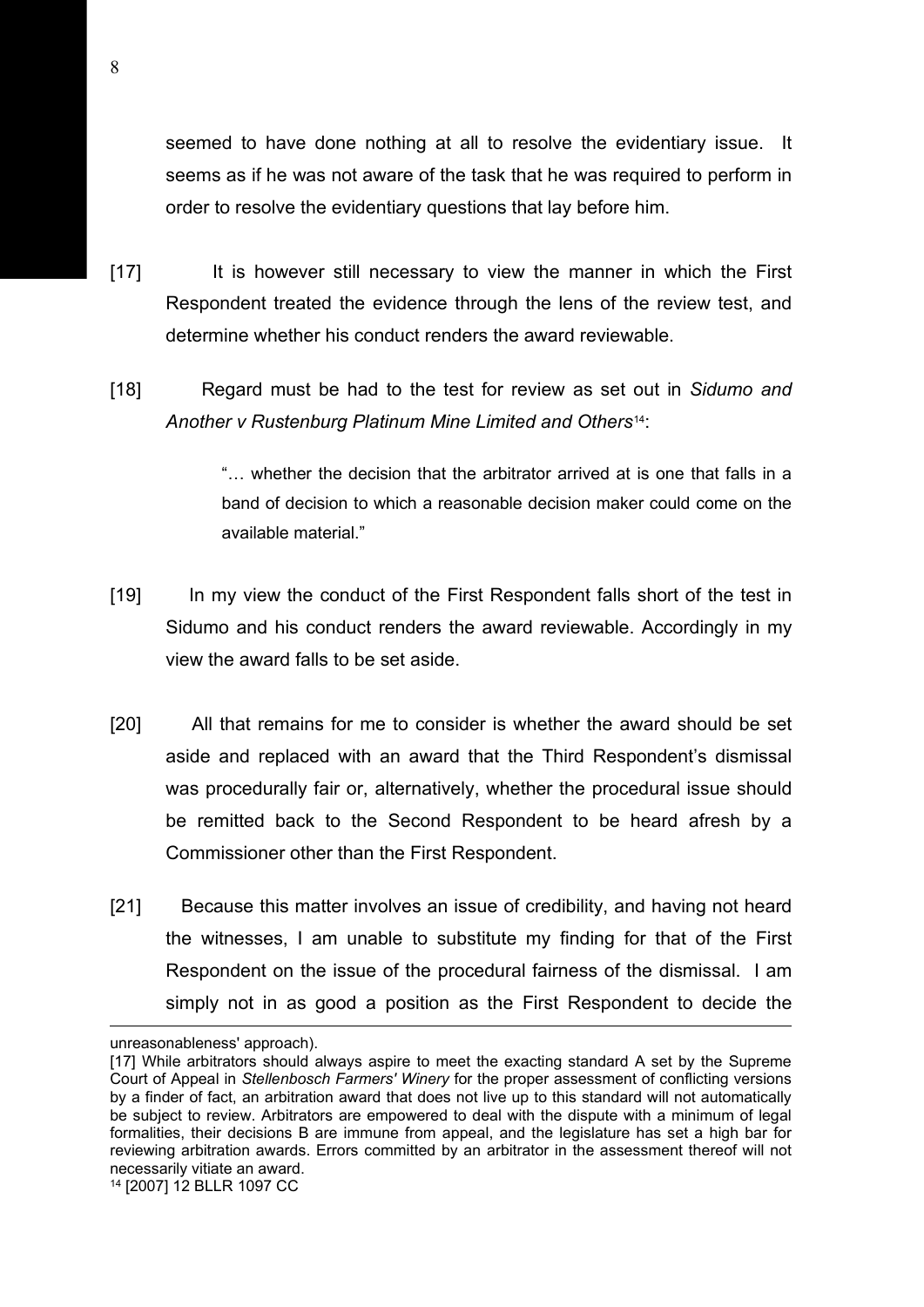seemed to have done nothing at all to resolve the evidentiary issue. It seems as if he was not aware of the task that he was required to perform in order to resolve the evidentiary questions that lay before him.

- [17] It is however still necessary to view the manner in which the First Respondent treated the evidence through the lens of the review test, and determine whether his conduct renders the award reviewable.
- [18] Regard must be had to the test for review as set out in *Sidumo and Another v Rustenburg Platinum Mine Limited and Others*[14:](#page-7-0)

"… whether the decision that the arbitrator arrived at is one that falls in a band of decision to which a reasonable decision maker could come on the available material."

- [19] In my view the conduct of the First Respondent falls short of the test in Sidumo and his conduct renders the award reviewable. Accordingly in my view the award falls to be set aside.
- [20] All that remains for me to consider is whether the award should be set aside and replaced with an award that the Third Respondent's dismissal was procedurally fair or, alternatively, whether the procedural issue should be remitted back to the Second Respondent to be heard afresh by a Commissioner other than the First Respondent.
- [21] Because this matter involves an issue of credibility, and having not heard the witnesses, I am unable to substitute my finding for that of the First Respondent on the issue of the procedural fairness of the dismissal. I am simply not in as good a position as the First Respondent to decide the

unreasonableness' approach).

<span id="page-7-0"></span><sup>[17]</sup> While arbitrators should always aspire to meet the exacting standard A set by the Supreme Court of Appeal in *Stellenbosch Farmers' Winery* for the proper assessment of conflicting versions by a finder of fact, an arbitration award that does not live up to this standard will not automatically be subject to review. Arbitrators are empowered to deal with the dispute with a minimum of legal formalities, their decisions B are immune from appeal, and the legislature has set a high bar for reviewing arbitration awards. Errors committed by an arbitrator in the assessment thereof will not necessarily vitiate an award. <sup>14</sup> [2007] 12 BLLR 1097 CC